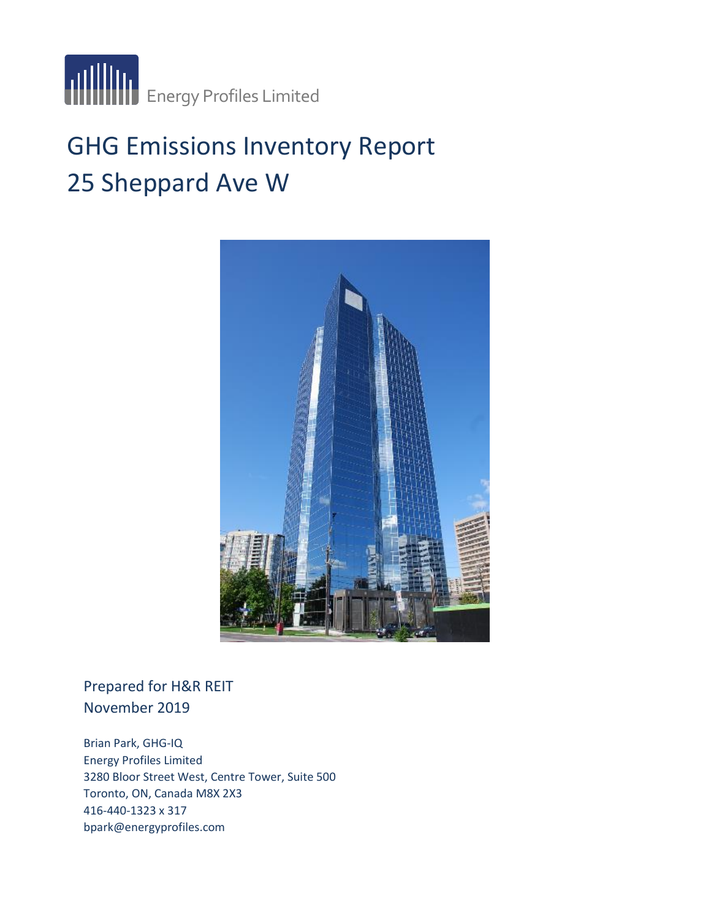

# GHG Emissions Inventory Report 25 Sheppard Ave W



### Prepared for H&R REIT November 2019

Brian Park, GHG-IQ Energy Profiles Limited 3280 Bloor Street West, Centre Tower, Suite 500 Toronto, ON, Canada M8X 2X3 416-440-1323 x 317 bpark@energyprofiles.com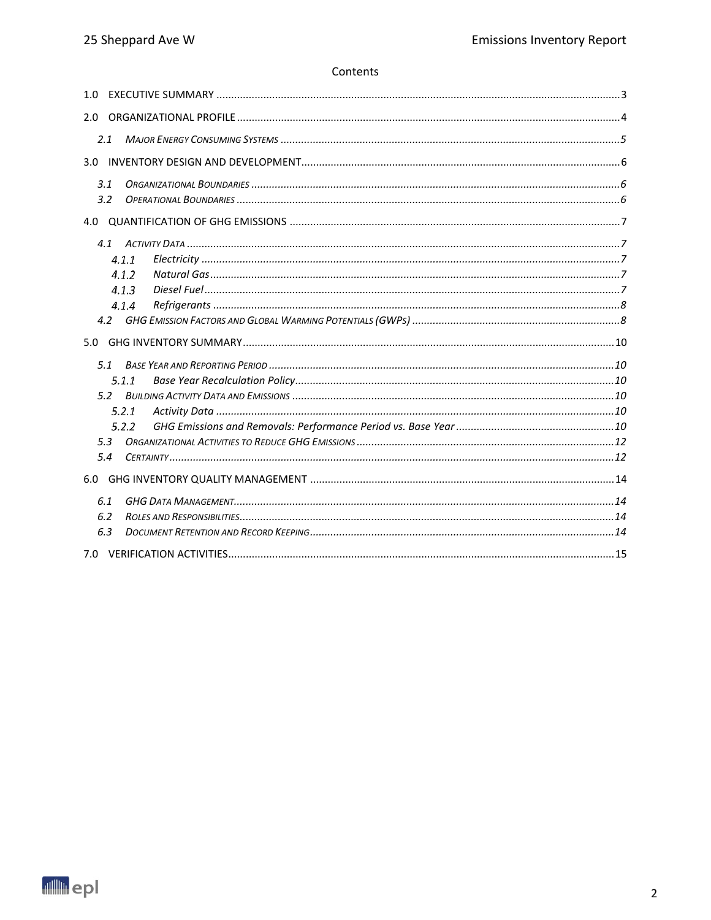#### Contents

| 1.0   |  |
|-------|--|
| 2.0   |  |
| 2.1   |  |
| 3.0   |  |
| 3.1   |  |
| 3.2   |  |
| 4.0   |  |
|       |  |
| 4.1.1 |  |
| 4.1.2 |  |
| 4.1.3 |  |
| 4.1.4 |  |
| 4.2   |  |
|       |  |
| 5.0   |  |
| 5.1   |  |
| 5.1.1 |  |
| 5.2   |  |
| 5.2.1 |  |
| 5.2.2 |  |
| 5.3   |  |
| 5.4   |  |
| 6.0   |  |
| 6.1   |  |
| 6.2   |  |
| 6.3   |  |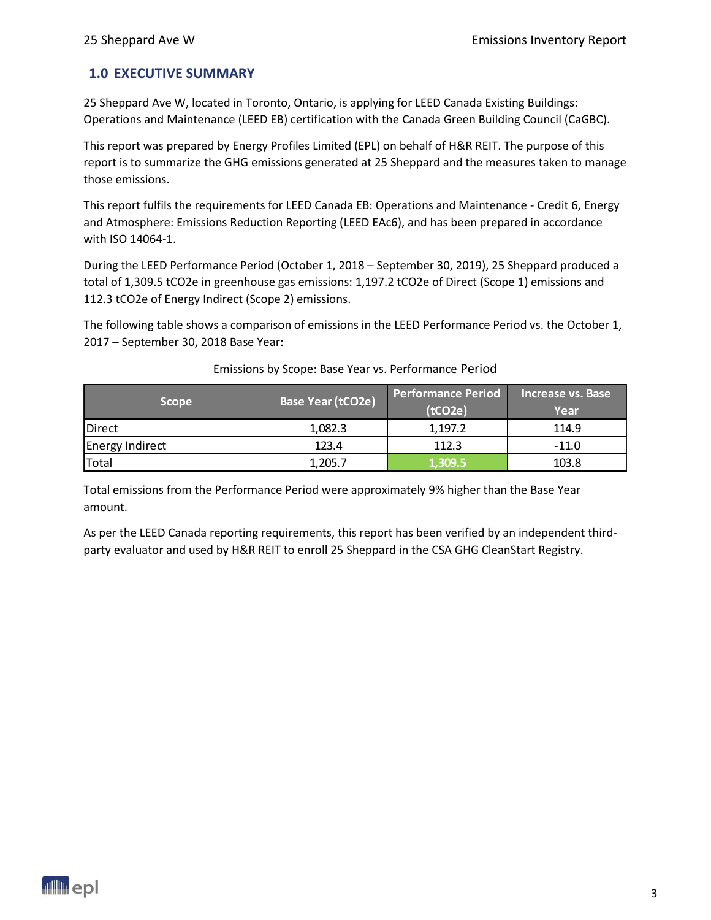#### <span id="page-2-0"></span>**1.0 EXECUTIVE SUMMARY**

25 Sheppard Ave W, located in Toronto, Ontario, is applying for LEED Canada Existing Buildings: Operations and Maintenance (LEED EB) certification with the Canada Green Building Council (CaGBC).

This report was prepared by Energy Profiles Limited (EPL) on behalf of H&R REIT. The purpose of this report is to summarize the GHG emissions generated at 25 Sheppard and the measures taken to manage those emissions.

This report fulfils the requirements for LEED Canada EB: Operations and Maintenance - Credit 6, Energy and Atmosphere: Emissions Reduction Reporting (LEED EAc6), and has been prepared in accordance with ISO 14064-1.

During the LEED Performance Period (October 1, 2018 – September 30, 2019), 25 Sheppard produced a total of 1,309.5 tCO2e in greenhouse gas emissions: 1,197.2 tCO2e of Direct (Scope 1) emissions and 112.3 tCO2e of Energy Indirect (Scope 2) emissions.

The following table shows a comparison of emissions in the LEED Performance Period vs. the October 1, 2017 – September 30, 2018 Base Year:

| <b>Scope</b>           | Base Year (tCO2e) | <b>Performance Period</b><br>(tCO2e) | Increase vs. Base<br>Year |
|------------------------|-------------------|--------------------------------------|---------------------------|
| <b>Direct</b>          | 1,082.3           | 1.197.2                              | 114.9                     |
| <b>Energy Indirect</b> | 123.4             | 112.3                                | $-11.0$                   |
| Total                  | 1,205.7           | 1.309.5                              | 103.8                     |

#### Emissions by Scope: Base Year vs. Performance Period

Total emissions from the Performance Period were approximately 9% higher than the Base Year amount.

As per the LEED Canada reporting requirements, this report has been verified by an independent thirdparty evaluator and used by H&R REIT to enroll 25 Sheppard in the CSA GHG CleanStart Registry.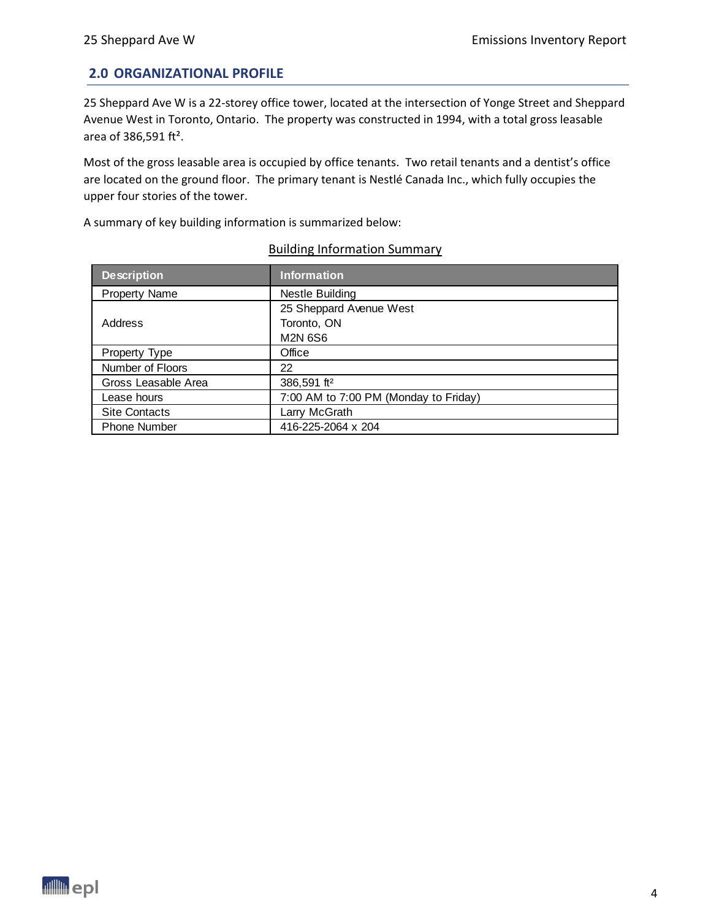#### <span id="page-3-0"></span>**2.0 ORGANIZATIONAL PROFILE**

25 Sheppard Ave W is a 22-storey office tower, located at the intersection of Yonge Street and Sheppard Avenue West in Toronto, Ontario. The property was constructed in 1994, with a total gross leasable area of 386,591 ft².

Most of the gross leasable area is occupied by office tenants. Two retail tenants and a dentist's office are located on the ground floor. The primary tenant is Nestlé Canada Inc., which fully occupies the upper four stories of the tower.

A summary of key building information is summarized below:

| <b>Description</b>   | <b>Information</b>                    |
|----------------------|---------------------------------------|
| <b>Property Name</b> | Nestle Building                       |
|                      | 25 Sheppard Avenue West               |
| Address              | Toronto, ON                           |
|                      | <b>M2N 6S6</b>                        |
| Property Type        | Office                                |
| Number of Floors     | 22                                    |
| Gross Leasable Area  | 386,591 ft <sup>2</sup>               |
| Lease hours          | 7:00 AM to 7:00 PM (Monday to Friday) |
| <b>Site Contacts</b> | Larry McGrath                         |
| <b>Phone Number</b>  | 416-225-2064 x 204                    |

#### Building Information Summary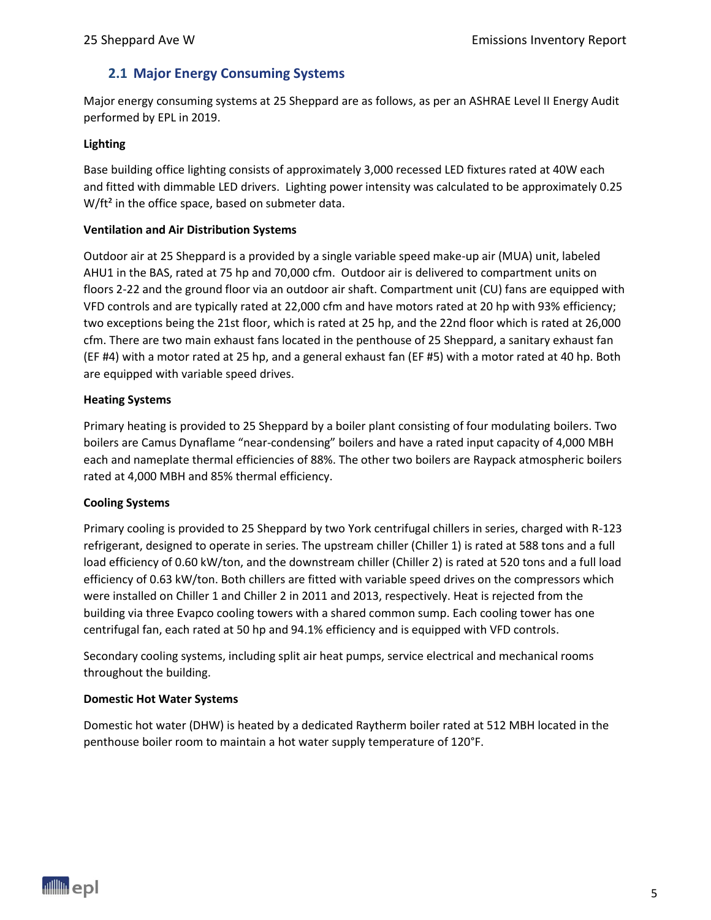#### <span id="page-4-0"></span>**2.1 Major Energy Consuming Systems**

Major energy consuming systems at 25 Sheppard are as follows, as per an ASHRAE Level II Energy Audit performed by EPL in 2019.

#### **Lighting**

Base building office lighting consists of approximately 3,000 recessed LED fixtures rated at 40W each and fitted with dimmable LED drivers. Lighting power intensity was calculated to be approximately 0.25 W/ft<sup>2</sup> in the office space, based on submeter data.

#### **Ventilation and Air Distribution Systems**

Outdoor air at 25 Sheppard is a provided by a single variable speed make-up air (MUA) unit, labeled AHU1 in the BAS, rated at 75 hp and 70,000 cfm. Outdoor air is delivered to compartment units on floors 2-22 and the ground floor via an outdoor air shaft. Compartment unit (CU) fans are equipped with VFD controls and are typically rated at 22,000 cfm and have motors rated at 20 hp with 93% efficiency; two exceptions being the 21st floor, which is rated at 25 hp, and the 22nd floor which is rated at 26,000 cfm. There are two main exhaust fans located in the penthouse of 25 Sheppard, a sanitary exhaust fan (EF #4) with a motor rated at 25 hp, and a general exhaust fan (EF #5) with a motor rated at 40 hp. Both are equipped with variable speed drives.

#### **Heating Systems**

Primary heating is provided to 25 Sheppard by a boiler plant consisting of four modulating boilers. Two boilers are Camus Dynaflame "near-condensing" boilers and have a rated input capacity of 4,000 MBH each and nameplate thermal efficiencies of 88%. The other two boilers are Raypack atmospheric boilers rated at 4,000 MBH and 85% thermal efficiency.

#### **Cooling Systems**

Primary cooling is provided to 25 Sheppard by two York centrifugal chillers in series, charged with R-123 refrigerant, designed to operate in series. The upstream chiller (Chiller 1) is rated at 588 tons and a full load efficiency of 0.60 kW/ton, and the downstream chiller (Chiller 2) is rated at 520 tons and a full load efficiency of 0.63 kW/ton. Both chillers are fitted with variable speed drives on the compressors which were installed on Chiller 1 and Chiller 2 in 2011 and 2013, respectively. Heat is rejected from the building via three Evapco cooling towers with a shared common sump. Each cooling tower has one centrifugal fan, each rated at 50 hp and 94.1% efficiency and is equipped with VFD controls.

Secondary cooling systems, including split air heat pumps, service electrical and mechanical rooms throughout the building.

#### **Domestic Hot Water Systems**

Domestic hot water (DHW) is heated by a dedicated Raytherm boiler rated at 512 MBH located in the penthouse boiler room to maintain a hot water supply temperature of 120°F.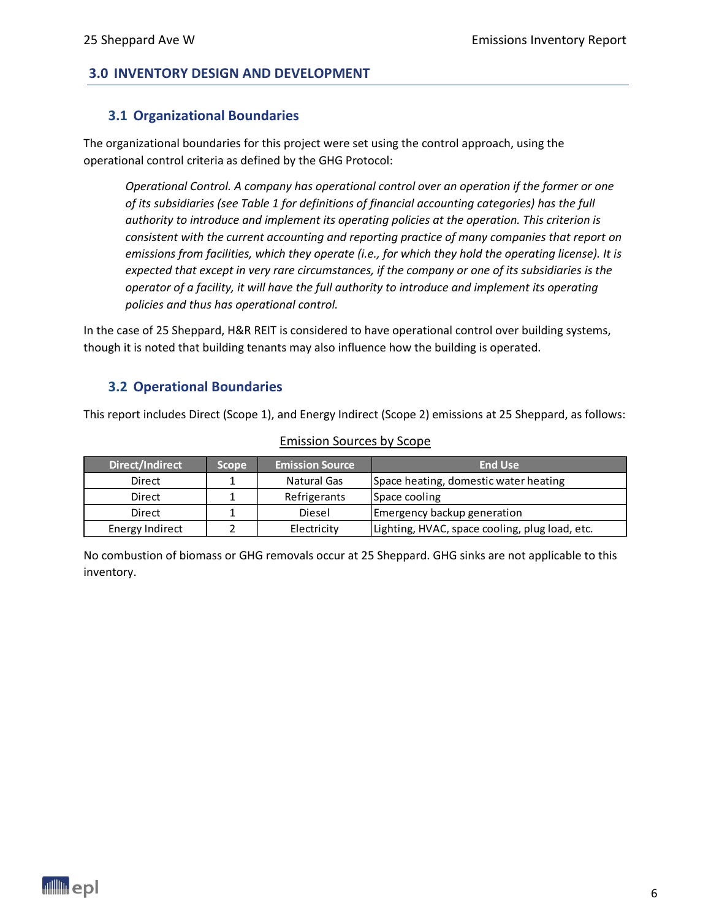#### <span id="page-5-1"></span><span id="page-5-0"></span>**3.0 INVENTORY DESIGN AND DEVELOPMENT**

#### **3.1 Organizational Boundaries**

The organizational boundaries for this project were set using the control approach, using the operational control criteria as defined by the GHG Protocol:

*Operational Control. A company has operational control over an operation if the former or one of its subsidiaries (see Table 1 for definitions of financial accounting categories) has the full authority to introduce and implement its operating policies at the operation. This criterion is consistent with the current accounting and reporting practice of many companies that report on emissions from facilities, which they operate (i.e., for which they hold the operating license). It is expected that except in very rare circumstances, if the company or one of its subsidiaries is the operator of a facility, it will have the full authority to introduce and implement its operating policies and thus has operational control.*

In the case of 25 Sheppard, H&R REIT is considered to have operational control over building systems, though it is noted that building tenants may also influence how the building is operated.

#### <span id="page-5-2"></span>**3.2 Operational Boundaries**

This report includes Direct (Scope 1), and Energy Indirect (Scope 2) emissions at 25 Sheppard, as follows:

| Direct/Indirect | Scope | <b>Emission Source</b> | <b>End Use</b>                                 |
|-----------------|-------|------------------------|------------------------------------------------|
| Direct          |       | Natural Gas            | Space heating, domestic water heating          |
| Direct          |       | Refrigerants           | Space cooling                                  |
| Direct          |       | Diesel                 | Emergency backup generation                    |
| Energy Indirect |       | Electricity            | Lighting, HVAC, space cooling, plug load, etc. |

#### Emission Sources by Scope

No combustion of biomass or GHG removals occur at 25 Sheppard. GHG sinks are not applicable to this inventory.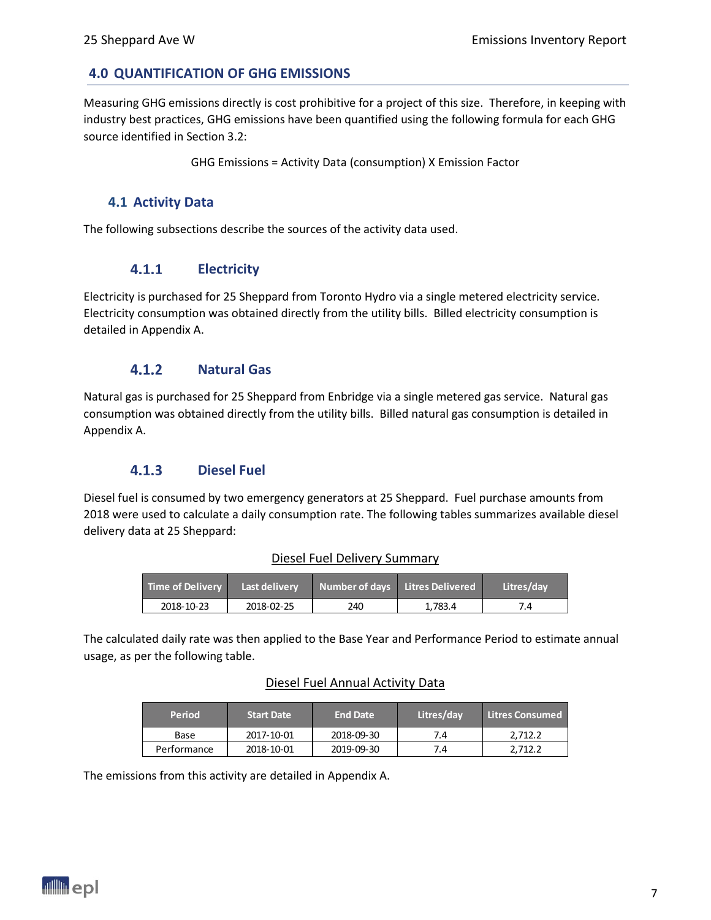#### <span id="page-6-0"></span>**4.0 QUANTIFICATION OF GHG EMISSIONS**

Measuring GHG emissions directly is cost prohibitive for a project of this size. Therefore, in keeping with industry best practices, GHG emissions have been quantified using the following formula for each GHG source identified in Section 3.2:

GHG Emissions = Activity Data (consumption) X Emission Factor

#### <span id="page-6-1"></span>**4.1 Activity Data**

<span id="page-6-2"></span>The following subsections describe the sources of the activity data used.

#### $4.1.1$ **Electricity**

Electricity is purchased for 25 Sheppard from Toronto Hydro via a single metered electricity service. Electricity consumption was obtained directly from the utility bills. Billed electricity consumption is detailed in Appendix A.

#### $4.1.2$ **Natural Gas**

<span id="page-6-3"></span>Natural gas is purchased for 25 Sheppard from Enbridge via a single metered gas service. Natural gas consumption was obtained directly from the utility bills. Billed natural gas consumption is detailed in Appendix A.

#### $4.1.3$ **Diesel Fuel**

<span id="page-6-4"></span>Diesel fuel is consumed by two emergency generators at 25 Sheppard. Fuel purchase amounts from 2018 were used to calculate a daily consumption rate. The following tables summarizes available diesel delivery data at 25 Sheppard:

#### Diesel Fuel Delivery Summary

| <b>Time of Delivery</b> | Last delivery | Number of days Litres Delivered |         | Litres/dav |
|-------------------------|---------------|---------------------------------|---------|------------|
| 2018-10-23              | 2018-02-25    | 240                             | 1.783.4 |            |

The calculated daily rate was then applied to the Base Year and Performance Period to estimate annual **Period Start Date End Date Litres/day Litres Consumed I** usage, as per the following table.

# Diesel Fuel Annual Activity Data

| Period      | <b>Start Date</b> | <b>End Date</b> | Litres/day | <b>Litres Consumed</b> |
|-------------|-------------------|-----------------|------------|------------------------|
| Base        | 2017-10-01        | 2018-09-30      | 7.4        | 2.712.2                |
| Performance | 2018-10-01        | 2019-09-30      | 7.4        | 2.712.2                |

The emissions from this activity are detailed in Appendix A.

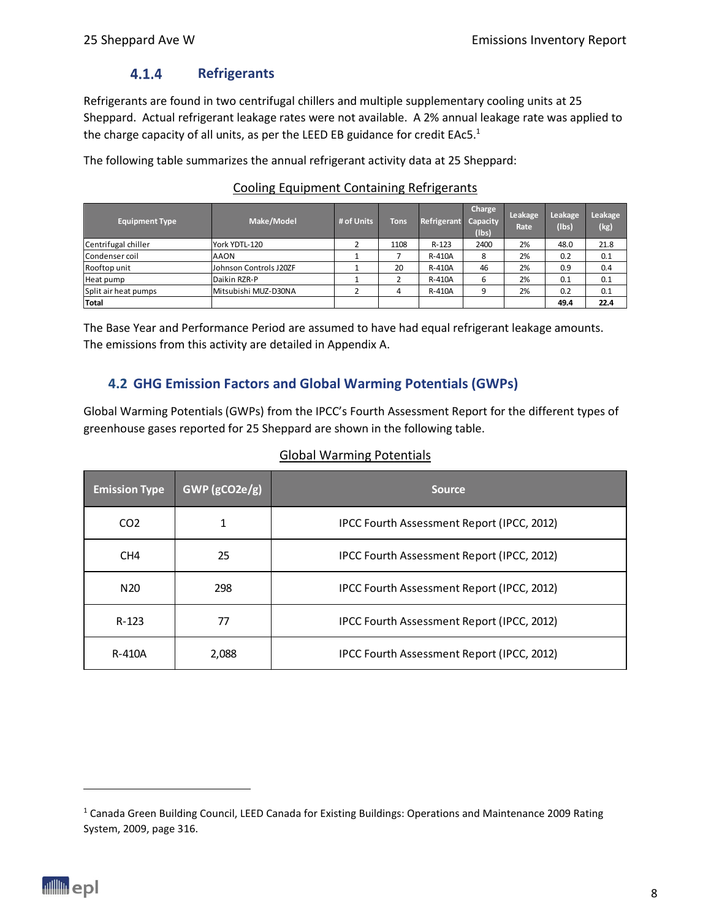#### $4.1.4$ **Refrigerants**

<span id="page-7-0"></span>Refrigerants are found in two centrifugal chillers and multiple supplementary cooling units at 25 Sheppard. Actual refrigerant leakage rates were not available. A 2% annual leakage rate was applied to the charge capacity of all units, as per the LEED EB guidance for credit EAc5.<sup>1</sup>

The following table summarizes the annual refrigerant activity data at 25 Sheppard:

| <b>Equipment Type</b> | Make/Model             | # of Units | <b>Tons</b> | Refrigerant | Charge<br>Capacity<br>$($ lbs $)$ | Leakage<br>Rate | Leakage<br>(Ibs) | Leakage<br>(kg) |
|-----------------------|------------------------|------------|-------------|-------------|-----------------------------------|-----------------|------------------|-----------------|
| Centrifugal chiller   | York YDTL-120          |            | 1108        | R-123       | 2400                              | 2%              | 48.0             | 21.8            |
| Condenser coil        | <b>AAON</b>            |            |             | R-410A      | 8                                 | 2%              | 0.2              | 0.1             |
| Rooftop unit          | Johnson Controls J20ZF |            | 20          | R-410A      | 46                                | 2%              | 0.9              | 0.4             |
| Heat pump             | Daikin RZR-P           |            |             | R-410A      | 6                                 | 2%              | 0.1              | 0.1             |
| Split air heat pumps  | Mitsubishi MUZ-D30NA   |            | 4           | R-410A      | 9                                 | 2%              | 0.2              | 0.1             |
| <b>Total</b>          |                        |            |             |             |                                   |                 | 49.4             | 22.4            |

#### Cooling Equipment Containing Refrigerants

The Base Year and Performance Period are assumed to have had equal refrigerant leakage amounts. The emissions from this activity are detailed in Appendix A.

### <span id="page-7-1"></span>**4.2 GHG Emission Factors and Global Warming Potentials (GWPs)**

Global Warming Potentials (GWPs) from the IPCC's Fourth Assessment Report for the different types of greenhouse gases reported for 25 Sheppard are shown in the following table.

| <b>Emission Type</b> | GWP(gCO2e/g) | <b>Source</b>                              |
|----------------------|--------------|--------------------------------------------|
| CO <sub>2</sub>      |              | IPCC Fourth Assessment Report (IPCC, 2012) |
| CH <sub>4</sub>      | 25           | IPCC Fourth Assessment Report (IPCC, 2012) |
| N <sub>20</sub>      | 298          | IPCC Fourth Assessment Report (IPCC, 2012) |
| $R - 123$            | 77           | IPCC Fourth Assessment Report (IPCC, 2012) |
| R-410A               | 2,088        | IPCC Fourth Assessment Report (IPCC, 2012) |

#### Global Warming Potentials

<sup>1</sup> Canada Green Building Council, LEED Canada for Existing Buildings: Operations and Maintenance 2009 Rating System, 2009, page 316.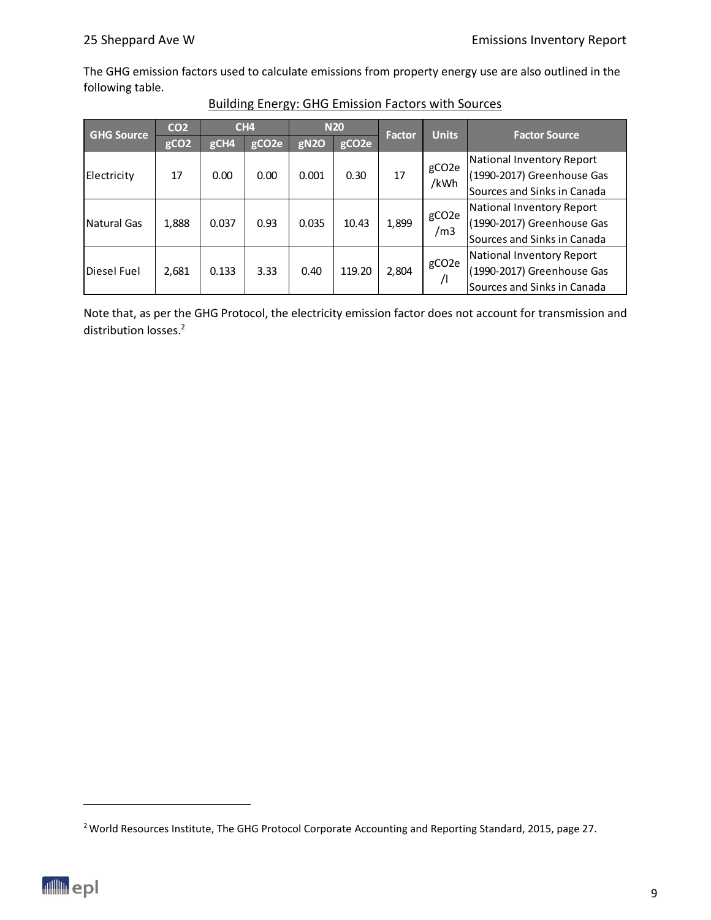The GHG emission factors used to calculate emissions from property energy use are also outlined in the following table.

| <b>GHG Source</b> | CO <sub>2</sub>  | CH <sub>4</sub> |                   | <b>N20</b>       |                   |       |                            | Factor                      | <b>Units</b> | <b>Factor Source</b> |
|-------------------|------------------|-----------------|-------------------|------------------|-------------------|-------|----------------------------|-----------------------------|--------------|----------------------|
|                   | gCO <sub>2</sub> | gCH4            | gCO <sub>2e</sub> | gN <sub>20</sub> | gCO <sub>2e</sub> |       |                            |                             |              |                      |
|                   |                  |                 |                   |                  |                   |       |                            | National Inventory Report   |              |                      |
| Electricity       | 17               | 0.00            | 0.00              | 0.001            | 0.30              | 17    | gCO <sub>2</sub> e<br>/kWh | (1990-2017) Greenhouse Gas  |              |                      |
|                   |                  |                 |                   |                  |                   |       |                            | Sources and Sinks in Canada |              |                      |
|                   |                  |                 |                   |                  |                   |       | gCO <sub>2</sub> e         | National Inventory Report   |              |                      |
| Natural Gas       | 1,888            | 0.037           | 0.93              | 0.035            | 10.43             | 1,899 | /m3                        | (1990-2017) Greenhouse Gas  |              |                      |
|                   |                  |                 |                   |                  |                   |       |                            | Sources and Sinks in Canada |              |                      |
|                   |                  |                 |                   |                  |                   |       |                            | National Inventory Report   |              |                      |
| Diesel Fuel       | 2,681            | 0.133           | 3.33              | 0.40             | 119.20            | 2,804 | gCO <sub>2</sub> e         | (1990-2017) Greenhouse Gas  |              |                      |
|                   |                  |                 |                   |                  |                   |       | $\sqrt{1}$                 | Sources and Sinks in Canada |              |                      |

#### Building Energy: GHG Emission Factors with Sources

Note that, as per the GHG Protocol, the electricity emission factor does not account for transmission and distribution losses. 2

<sup>&</sup>lt;sup>2</sup> World Resources Institute, The GHG Protocol Corporate Accounting and Reporting Standard, 2015, page 27.

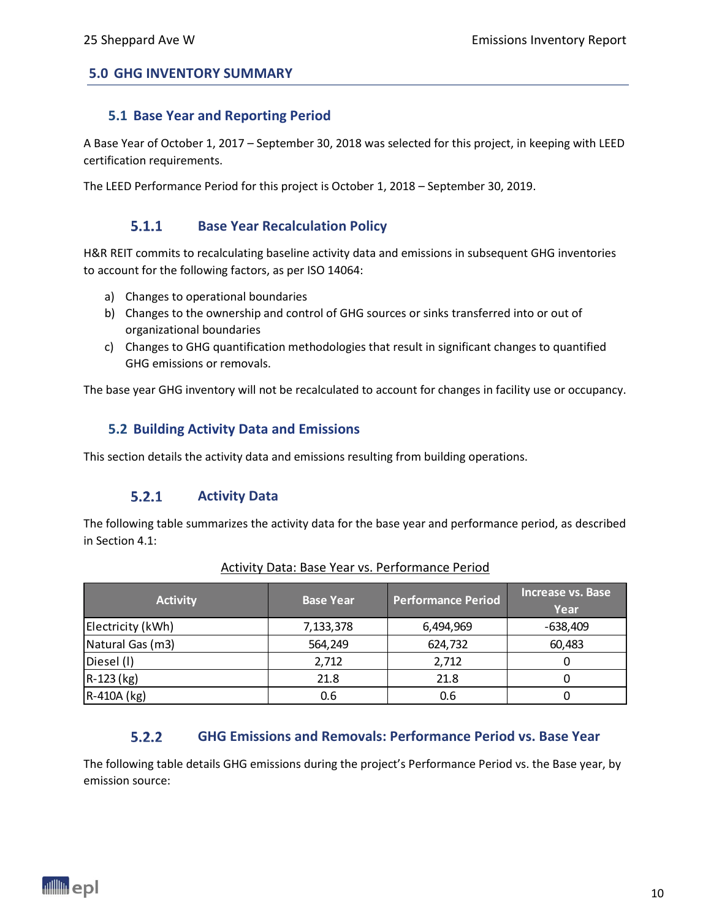#### <span id="page-9-1"></span><span id="page-9-0"></span>**5.0 GHG INVENTORY SUMMARY**

#### **5.1 Base Year and Reporting Period**

A Base Year of October 1, 2017 – September 30, 2018 was selected for this project, in keeping with LEED certification requirements.

<span id="page-9-2"></span>The LEED Performance Period for this project is October 1, 2018 – September 30, 2019.

#### $5.1.1$ **Base Year Recalculation Policy**

H&R REIT commits to recalculating baseline activity data and emissions in subsequent GHG inventories to account for the following factors, as per ISO 14064:

- a) Changes to operational boundaries
- b) Changes to the ownership and control of GHG sources or sinks transferred into or out of organizational boundaries
- c) Changes to GHG quantification methodologies that result in significant changes to quantified GHG emissions or removals.

<span id="page-9-3"></span>The base year GHG inventory will not be recalculated to account for changes in facility use or occupancy.

#### **5.2 Building Activity Data and Emissions**

<span id="page-9-4"></span>This section details the activity data and emissions resulting from building operations.

#### $5.2.1$ **Activity Data**

The following table summarizes the activity data for the base year and performance period, as described in Section 4.1:

| <b>Activity</b>   | <b>Base Year</b> | <b>Performance Period</b> | <b>Increase vs. Base</b><br>Year |
|-------------------|------------------|---------------------------|----------------------------------|
| Electricity (kWh) | 7,133,378        | 6,494,969                 | $-638,409$                       |
| Natural Gas (m3)  | 564,249          | 624,732                   | 60,483                           |
| Diesel (I)        | 2,712            | 2,712                     |                                  |
| R-123 (kg)        | 21.8             | 21.8                      |                                  |
| R-410A (kg)       | 0.6              | 0.6                       |                                  |

#### Activity Data: Base Year vs. Performance Period

#### $5.2.2$ **GHG Emissions and Removals: Performance Period vs. Base Year**

<span id="page-9-5"></span>The following table details GHG emissions during the project's Performance Period vs. the Base year, by emission source:

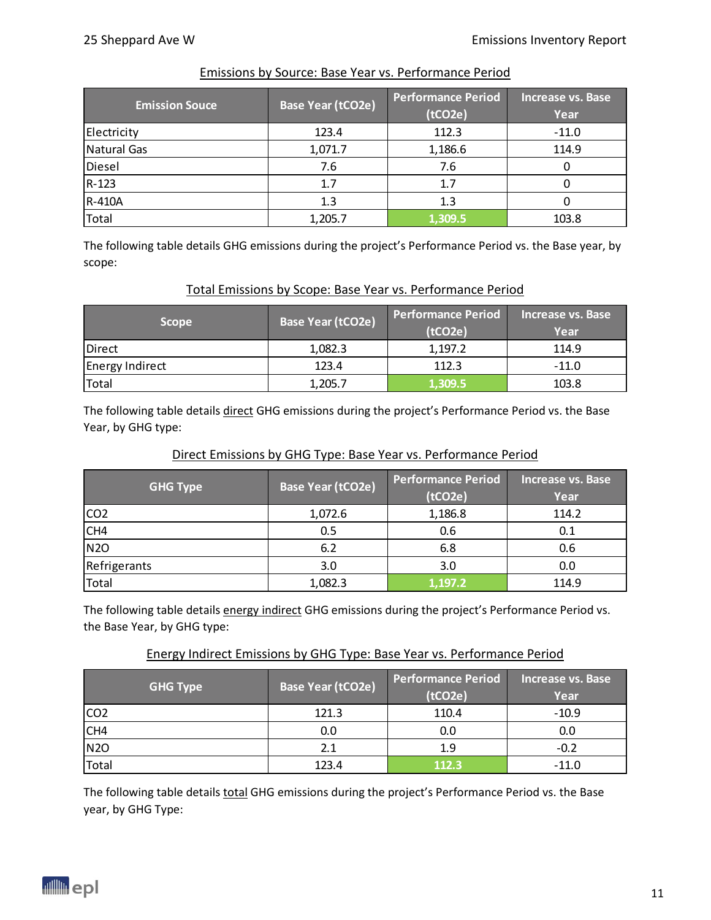| <b>Emission Souce</b> | <b>Base Year (tCO2e)</b> | <b>Performance Period</b><br>(tCO2e) | Increase vs. Base<br>Year |
|-----------------------|--------------------------|--------------------------------------|---------------------------|
| Electricity           | 123.4                    | 112.3                                | $-11.0$                   |
| Natural Gas           | 1,071.7                  | 1,186.6                              | 114.9                     |
| Diesel                | 7.6                      | 7.6                                  |                           |
| $R-123$               | 1.7                      | 1.7                                  |                           |
| R-410A                | 1.3                      | 1.3                                  |                           |
| Total                 | 1,205.7                  | 1,309.5                              | 103.8                     |

#### Emissions by Source: Base Year vs. Performance Period

The following table details GHG emissions during the project's Performance Period vs. the Base year, by scope:

#### Total Emissions by Scope: Base Year vs. Performance Period

| <b>Scope</b>           | Base Year (tCO2e) | <b>Performance Period</b><br>(tCO <sub>2e</sub> ) | Increase vs. Base<br>Year |
|------------------------|-------------------|---------------------------------------------------|---------------------------|
| Direct                 | 1,082.3           | 1,197.2                                           | 114.9                     |
| <b>Energy Indirect</b> | 123.4             | 112.3                                             | -11.0                     |
| Total                  | 1,205.7           | 1,309.5                                           | 103.8                     |

The following table details direct GHG emissions during the project's Performance Period vs. the Base Year, by GHG type:

#### Direct Emissions by GHG Type: Base Year vs. Performance Period

| <b>GHG Type</b> | <b>Base Year (tCO2e)</b> | <b>Performance Period</b><br>(tCO2e) | <b>Increase vs. Base</b><br>Year |
|-----------------|--------------------------|--------------------------------------|----------------------------------|
| CO <sub>2</sub> | 1,072.6                  | 1,186.8                              | 114.2                            |
| CH4             | 0.5                      | 0.6                                  | 0.1                              |
| <b>N2O</b>      | 6.2                      | 6.8                                  | 0.6                              |
| Refrigerants    | 3.0                      | 3.0                                  | 0.0                              |
| Total           | 1,082.3                  | 1,197.2                              | 114.9                            |

The following table details energy indirect GHG emissions during the project's Performance Period vs. the Base Year, by GHG type:

#### Energy Indirect Emissions by GHG Type: Base Year vs. Performance Period

| <b>GHG Type</b> | <b>Base Year (tCO2e)</b> | <b>Performance Period</b><br>(tCO2e) | Increase vs. Base<br>Year |  |
|-----------------|--------------------------|--------------------------------------|---------------------------|--|
| CO <sub>2</sub> | 121.3                    | 110.4                                | $-10.9$                   |  |
| CH4             | 0.0                      | 0.0                                  | 0.0                       |  |
| <b>N2O</b>      | 2.1                      | 1.9                                  | $-0.2$                    |  |
| Total           | 123.4                    | 112.3                                | $-11.0$                   |  |

The following table details total GHG emissions during the project's Performance Period vs. the Base year, by GHG Type:

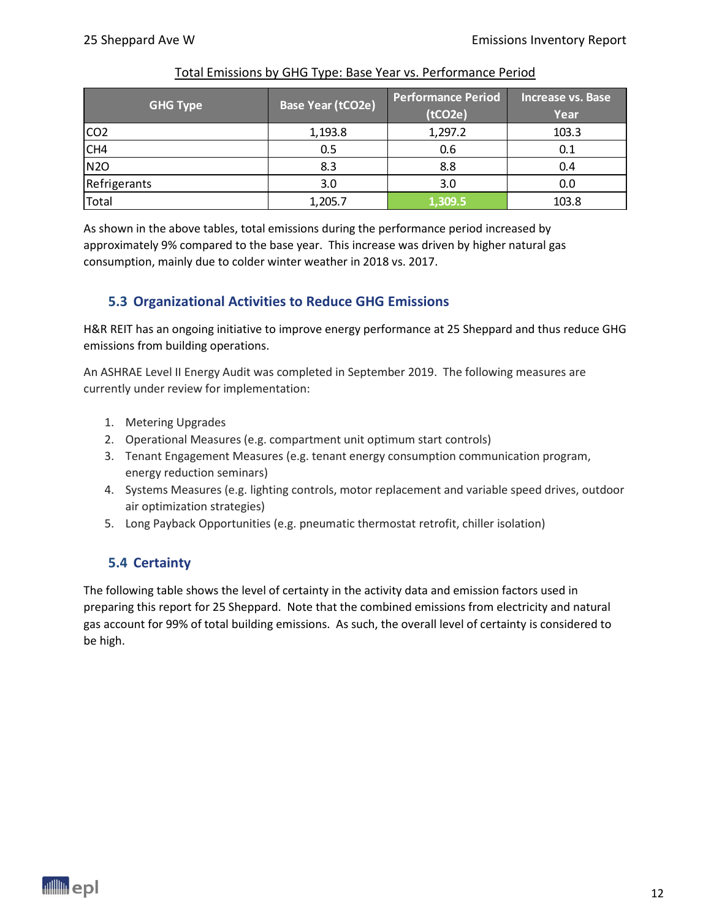| <b>GHG Type</b> | <b>Base Year (tCO2e)</b> | <b>Performance Period</b><br>(tCO2e) | Increase vs. Base<br>Year |
|-----------------|--------------------------|--------------------------------------|---------------------------|
| CO <sub>2</sub> | 1,193.8                  | 1,297.2                              | 103.3                     |
| CH <sub>4</sub> | 0.5                      | 0.6                                  | 0.1                       |
| <b>N2O</b>      | 8.3                      | 8.8                                  | 0.4                       |
| Refrigerants    | 3.0                      | 3.0                                  | 0.0                       |
| Total           | 1,205.7                  | 1,309.5                              | 103.8                     |

As shown in the above tables, total emissions during the performance period increased by approximately 9% compared to the base year. This increase was driven by higher natural gas consumption, mainly due to colder winter weather in 2018 vs. 2017.

#### <span id="page-11-0"></span>**5.3 Organizational Activities to Reduce GHG Emissions**

H&R REIT has an ongoing initiative to improve energy performance at 25 Sheppard and thus reduce GHG emissions from building operations.

An ASHRAE Level II Energy Audit was completed in September 2019. The following measures are currently under review for implementation:

- 1. Metering Upgrades
- 2. Operational Measures (e.g. compartment unit optimum start controls)
- 3. Tenant Engagement Measures (e.g. tenant energy consumption communication program, energy reduction seminars)
- 4. Systems Measures (e.g. lighting controls, motor replacement and variable speed drives, outdoor air optimization strategies)
- <span id="page-11-1"></span>5. Long Payback Opportunities (e.g. pneumatic thermostat retrofit, chiller isolation)

### **5.4 Certainty**

The following table shows the level of certainty in the activity data and emission factors used in preparing this report for 25 Sheppard. Note that the combined emissions from electricity and natural gas account for 99% of total building emissions. As such, the overall level of certainty is considered to be high.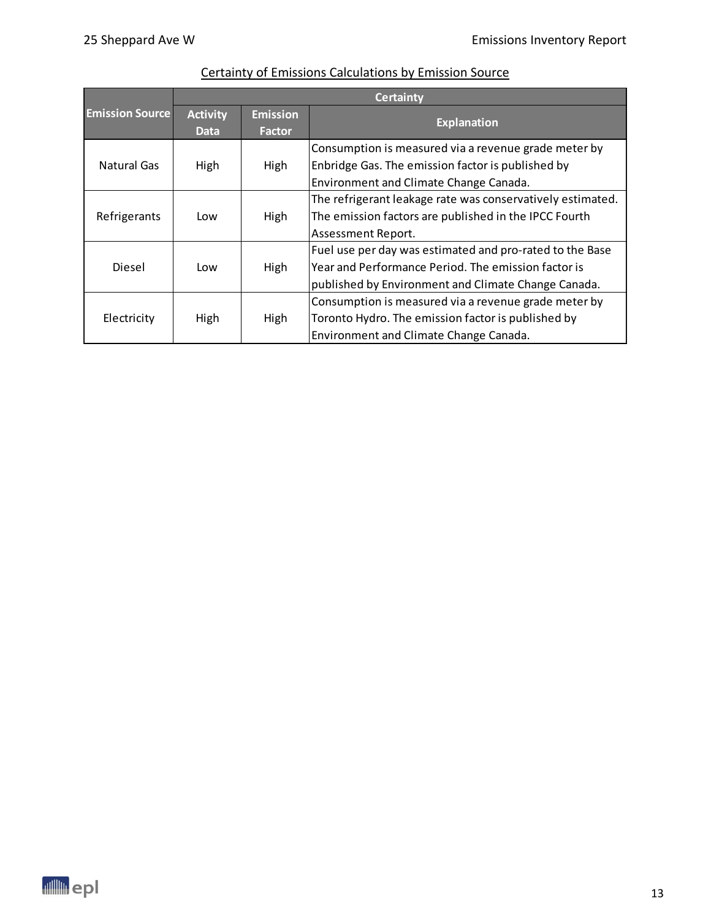|                        | <b>Certainty</b> |                 |                                                            |  |
|------------------------|------------------|-----------------|------------------------------------------------------------|--|
| <b>Emission Source</b> | <b>Activity</b>  | <b>Emission</b> | <b>Explanation</b>                                         |  |
|                        | <b>Data</b>      | Factor          |                                                            |  |
|                        |                  |                 | Consumption is measured via a revenue grade meter by       |  |
| Natural Gas            | High             | High            | Enbridge Gas. The emission factor is published by          |  |
|                        |                  |                 | Environment and Climate Change Canada.                     |  |
|                        |                  |                 | The refrigerant leakage rate was conservatively estimated. |  |
| Refrigerants           | Low              | High            | The emission factors are published in the IPCC Fourth      |  |
|                        |                  |                 | Assessment Report.                                         |  |
|                        |                  |                 | Fuel use per day was estimated and pro-rated to the Base   |  |
| Diesel                 | Low              | High            | Year and Performance Period. The emission factor is        |  |
|                        |                  |                 | published by Environment and Climate Change Canada.        |  |
|                        |                  |                 | Consumption is measured via a revenue grade meter by       |  |
| Electricity            | High             | High            | Toronto Hydro. The emission factor is published by         |  |
|                        |                  |                 | Environment and Climate Change Canada.                     |  |

# Certainty of Emissions Calculations by Emission Source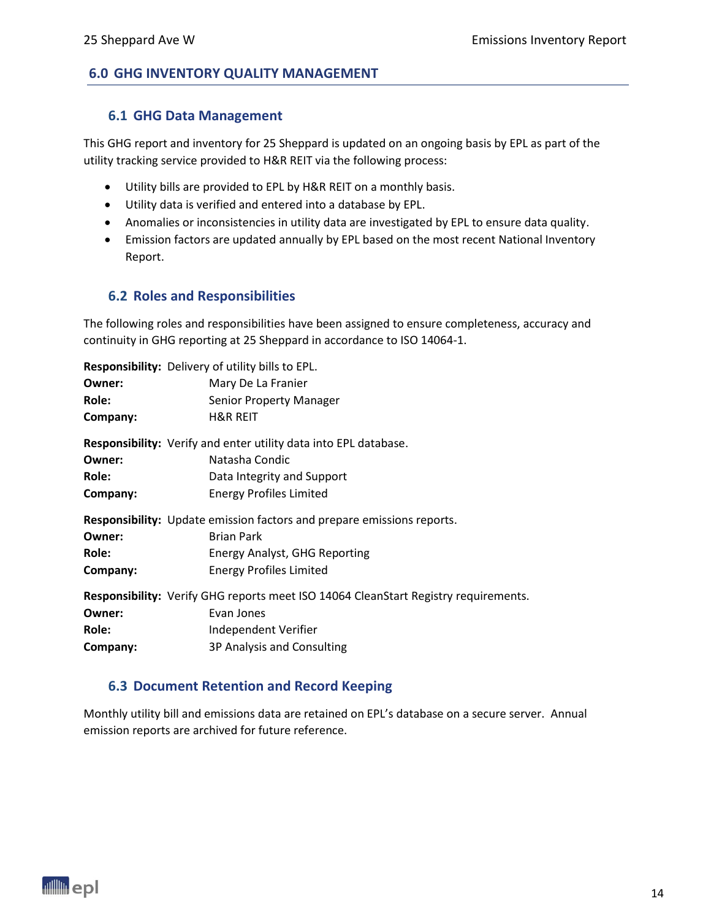#### <span id="page-13-1"></span><span id="page-13-0"></span>**6.0 GHG INVENTORY QUALITY MANAGEMENT**

#### **6.1 GHG Data Management**

This GHG report and inventory for 25 Sheppard is updated on an ongoing basis by EPL as part of the utility tracking service provided to H&R REIT via the following process:

- Utility bills are provided to EPL by H&R REIT on a monthly basis.
- Utility data is verified and entered into a database by EPL.
- Anomalies or inconsistencies in utility data are investigated by EPL to ensure data quality.
- Emission factors are updated annually by EPL based on the most recent National Inventory Report.

#### <span id="page-13-2"></span>**6.2 Roles and Responsibilities**

The following roles and responsibilities have been assigned to ensure completeness, accuracy and continuity in GHG reporting at 25 Sheppard in accordance to ISO 14064-1.

**Responsibility:** Delivery of utility bills to EPL.

| Owner:   | Mary De La Franier                                                                  |
|----------|-------------------------------------------------------------------------------------|
| Role:    | <b>Senior Property Manager</b>                                                      |
| Company: | <b>H&amp;R REIT</b>                                                                 |
|          | <b>Responsibility:</b> Verify and enter utility data into EPL database.             |
| Owner:   | Natasha Condic                                                                      |
| Role:    | Data Integrity and Support                                                          |
| Company: | <b>Energy Profiles Limited</b>                                                      |
|          | <b>Responsibility:</b> Update emission factors and prepare emissions reports.       |
| Owner:   | <b>Brian Park</b>                                                                   |
| Role:    | <b>Energy Analyst, GHG Reporting</b>                                                |
| Company: | <b>Energy Profiles Limited</b>                                                      |
|          | Responsibility: Verify GHG reports meet ISO 14064 CleanStart Registry requirements. |
| Owner:   | Evan Jones                                                                          |
| Role:    | Independent Verifier                                                                |
| Company: | 3P Analysis and Consulting                                                          |

#### <span id="page-13-3"></span>**6.3 Document Retention and Record Keeping**

Monthly utility bill and emissions data are retained on EPL's database on a secure server. Annual emission reports are archived for future reference.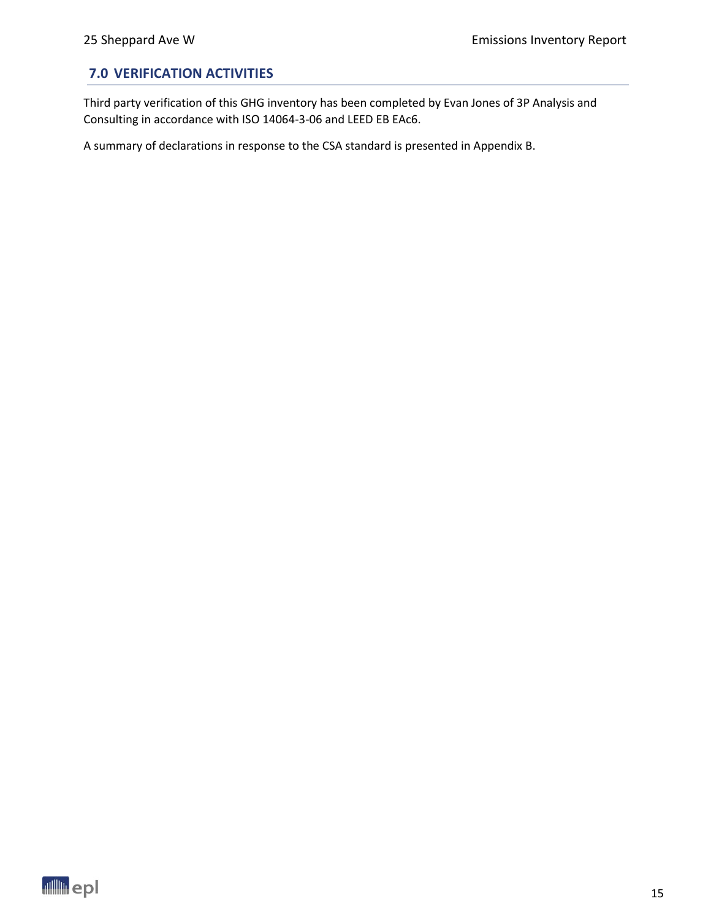### <span id="page-14-0"></span>**7.0 VERIFICATION ACTIVITIES**

Third party verification of this GHG inventory has been completed by Evan Jones of 3P Analysis and Consulting in accordance with ISO 14064-3-06 and LEED EB EAc6.

A summary of declarations in response to the CSA standard is presented in Appendix B.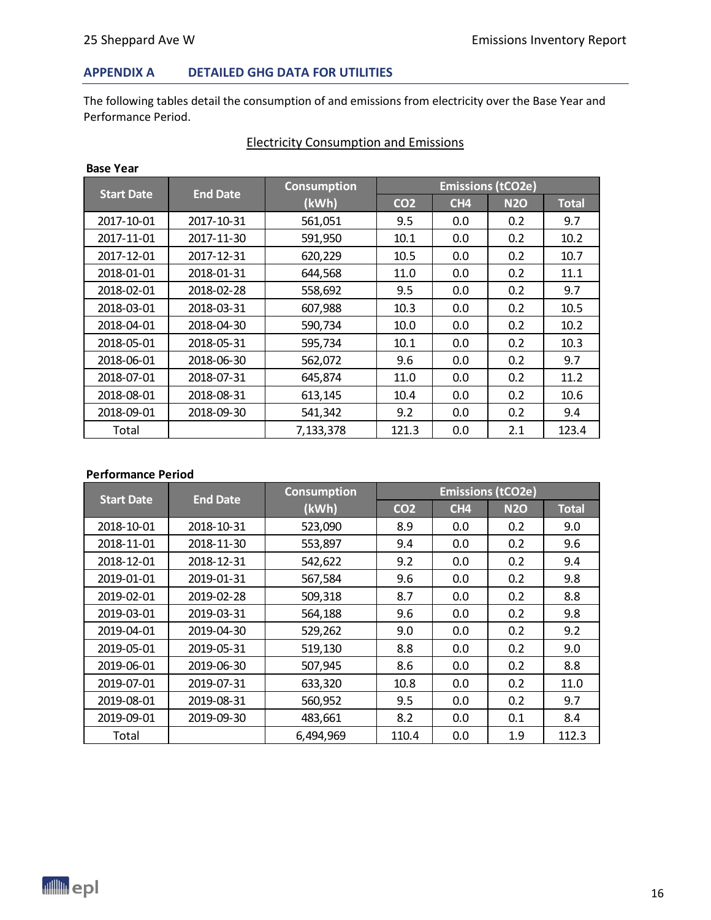#### **APPENDIX A DETAILED GHG DATA FOR UTILITIES**

The following tables detail the consumption of and emissions from electricity over the Base Year and Performance Period.

| <b>Start Date</b> | <b>End Date</b> | <b>Consumption</b>            | <b>Emissions (tCO2e)</b> |                 |            |              |
|-------------------|-----------------|-------------------------------|--------------------------|-----------------|------------|--------------|
|                   |                 | (kWh)                         | CO <sub>2</sub>          | CH <sub>4</sub> | <b>N2O</b> | <b>Total</b> |
| 2017-10-01        | 2017-10-31      | 561,051                       | 9.5                      | 0.0             | 0.2        | 9.7          |
| 2017-11-01        | 2017-11-30      | 591,950<br>0.2<br>10.1<br>0.0 |                          |                 | 10.2       |              |
| 2017-12-01        | 2017-12-31      | 620,229<br>10.5<br>0.0        |                          | 0.2             | 10.7       |              |
| 2018-01-01        | 2018-01-31      | 644,568                       | 11.0                     | 0.0             | 0.2        | 11.1         |
| 2018-02-01        | 2018-02-28      | 558,692                       | 9.5                      | 0.0             | 0.2        | 9.7          |
| 2018-03-01        | 2018-03-31      | 607,988                       | 10.3                     | 0.0             | 0.2        | 10.5         |
| 2018-04-01        | 2018-04-30      | 590,734                       | 10.0                     | 0.0             | 0.2        | 10.2         |
| 2018-05-01        | 2018-05-31      | 595,734                       | 10.1                     | 0.0             | 0.2        | 10.3         |
| 2018-06-01        | 2018-06-30      | 562,072                       | 9.6                      | 0.0             | 0.2        | 9.7          |
| 2018-07-01        | 2018-07-31      | 645,874                       | 11.0                     | 0.0             | 0.2        | 11.2         |
| 2018-08-01        | 2018-08-31      | 613,145                       | 10.4                     | 0.0             | 0.2        | 10.6         |
| 2018-09-01        | 2018-09-30      | 541,342                       | 9.2                      | 0.0             | 0.2        | 9.4          |
| Total             |                 | 7,133,378                     | 121.3                    | 0.0             | 2.1        | 123.4        |

### Electricity Consumption and Emissions

#### **Performance Period**

| <b>Start Date</b><br><b>End Date</b> |            | <b>Consumption</b>    |                 | <b>Emissions (tCO2e)</b> |            |              |  |
|--------------------------------------|------------|-----------------------|-----------------|--------------------------|------------|--------------|--|
|                                      |            | (kWh)                 | CO <sub>2</sub> | CH <sub>4</sub>          | <b>N2O</b> | <b>Total</b> |  |
| 2018-10-01                           | 2018-10-31 | 523,090               | 8.9             | 0.0                      | 0.2        | 9.0          |  |
| 2018-11-01                           | 2018-11-30 | 553,897               | 9.4             | 0.0                      | 0.2        | 9.6          |  |
| 2018-12-01                           | 2018-12-31 | 9.2<br>542,622<br>0.0 |                 | 0.2                      | 9.4        |              |  |
| 2019-01-01                           | 2019-01-31 | 567,584               | 9.6             | 0.0                      | 0.2        | 9.8          |  |
| 2019-02-01                           | 2019-02-28 | 509,318               | 8.7             | 0.0                      | 0.2        | 8.8          |  |
| 2019-03-01                           | 2019-03-31 | 564,188               | 9.6             | 0.0                      | 0.2        | 9.8          |  |
| 2019-04-01                           | 2019-04-30 | 529,262               | 9.0             | 0.0                      | 0.2        | 9.2          |  |
| 2019-05-01                           | 2019-05-31 | 519,130               | 8.8             | 0.0                      | 0.2        | 9.0          |  |
| 2019-06-01                           | 2019-06-30 | 507,945               | 8.6             | 0.0                      | 0.2        | 8.8          |  |
| 2019-07-01                           | 2019-07-31 | 10.8<br>633,320       |                 | 0.0                      | 0.2        | 11.0         |  |
| 2019-08-01                           | 2019-08-31 | 9.5<br>560,952<br>0.0 |                 |                          | 0.2        | 9.7          |  |
| 2019-09-01                           | 2019-09-30 | 483,661               | 8.2             | 0.0                      | 0.1        | 8.4          |  |
| Total                                |            | 6,494,969             | 110.4           | 0.0                      | 1.9        | 112.3        |  |

**Base Year**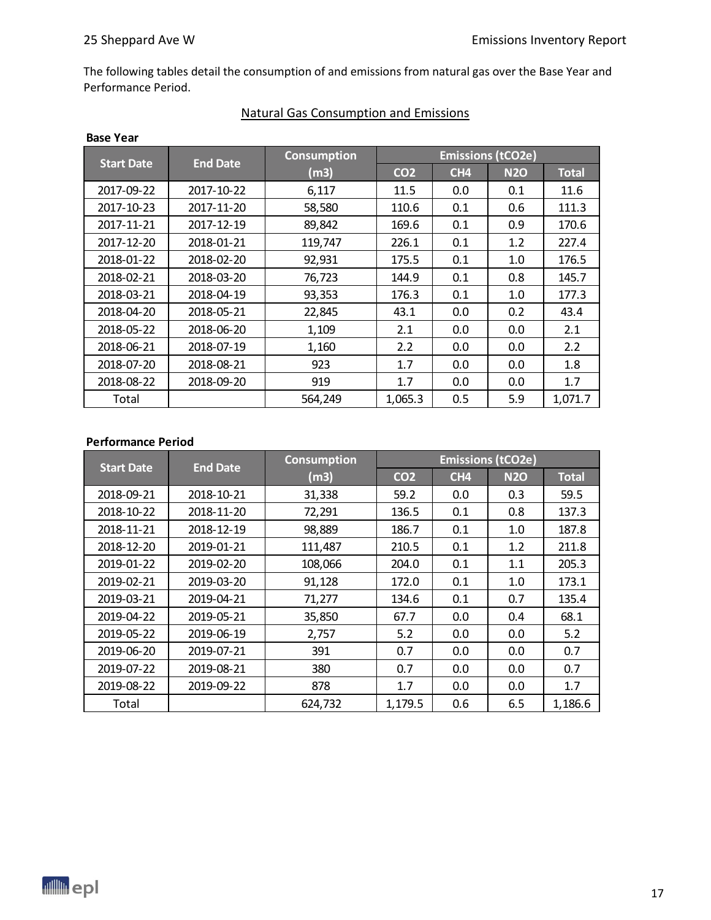The following tables detail the consumption of and emissions from natural gas over the Base Year and Performance Period.

| <b>Base Year</b>  |                 |                               |                          |                 |            |              |  |
|-------------------|-----------------|-------------------------------|--------------------------|-----------------|------------|--------------|--|
| <b>Start Date</b> | <b>End Date</b> | <b>Consumption</b>            | <b>Emissions (tCO2e)</b> |                 |            |              |  |
|                   |                 | (m3)                          | CO <sub>2</sub>          | CH <sub>4</sub> | <b>N2O</b> | <b>Total</b> |  |
| 2017-09-22        | 2017-10-22      | 6,117                         | 11.5                     | 0.0             | 0.1        | 11.6         |  |
| 2017-10-23        | 2017-11-20      | 110.6<br>58,580<br>0.1        |                          | 0.6             | 111.3      |              |  |
| 2017-11-21        | 2017-12-19      | 89,842                        | 169.6                    | 0.1             | 0.9        | 170.6        |  |
| 2017-12-20        | 2018-01-21      | 119,747                       | 226.1                    | 0.1             | 1.2        | 227.4        |  |
| 2018-01-22        | 2018-02-20      | 92,931                        | 175.5                    | 0.1             | 1.0        | 176.5        |  |
| 2018-02-21        | 2018-03-20      | 76,723                        | 144.9                    | 0.1             | 0.8        | 145.7        |  |
| 2018-03-21        | 2018-04-19      | 93,353<br>176.3<br>0.1<br>1.0 |                          |                 | 177.3      |              |  |
| 2018-04-20        | 2018-05-21      | 22,845                        | 43.1                     | 0.0             | 0.2        | 43.4         |  |
| 2018-05-22        | 2018-06-20      | 1,109                         | 2.1                      | 0.0             | 0.0        | 2.1          |  |
| 2018-06-21        | 2018-07-19      | 1,160                         | 2.2                      | 0.0             | 0.0        | 2.2          |  |
| 2018-07-20        | 2018-08-21      | 923                           | 1.7                      | 0.0             | 0.0        | 1.8          |  |
| 2018-08-22        | 2018-09-20      | 919                           | 1.7                      | 0.0             | 0.0        | 1.7          |  |
| Total             |                 | 564,249                       | 1,065.3                  | 0.5             | 5.9        | 1,071.7      |  |

### Natural Gas Consumption and Emissions

#### **Performance Period**

| <b>Start Date</b> | <b>End Date</b> | <b>Consumption</b>      | <b>Emissions (tCO2e)</b> |                 |            |              |
|-------------------|-----------------|-------------------------|--------------------------|-----------------|------------|--------------|
|                   |                 | (m3)                    | CO <sub>2</sub>          | CH <sub>4</sub> | <b>N2O</b> | <b>Total</b> |
| 2018-09-21        | 2018-10-21      | 31,338                  | 59.2                     | 0.0             | 0.3        | 59.5         |
| 2018-10-22        | 2018-11-20      | 72,291                  | 136.5                    | 0.1             | 0.8        | 137.3        |
| 2018-11-21        | 2018-12-19      | 98,889<br>186.7<br>0.1  |                          | 1.0             | 187.8      |              |
| 2018-12-20        | 2019-01-21      | 111,487<br>210.5<br>0.1 |                          | 1.2             | 211.8      |              |
| 2019-01-22        | 2019-02-20      | 108,066<br>204.0<br>0.1 |                          | 1.1             | 205.3      |              |
| 2019-02-21        | 2019-03-20      | 91,128                  | 172.0                    | 0.1             | 1.0        | 173.1        |
| 2019-03-21        | 2019-04-21      | 71,277                  | 134.6                    | 0.1             | 0.7        | 135.4        |
| 2019-04-22        | 2019-05-21      | 35,850                  | 67.7                     | 0.0             | 0.4        | 68.1         |
| 2019-05-22        | 2019-06-19      | 2,757                   | 5.2                      | 0.0             | 0.0        | 5.2          |
| 2019-06-20        | 2019-07-21      | 391<br>0.7<br>0.0       |                          |                 | 0.0        | 0.7          |
| 2019-07-22        | 2019-08-21      | 0.7<br>380<br>0.0       |                          | 0.0             | 0.7        |              |
| 2019-08-22        | 2019-09-22      | 878                     | 1.7                      | 0.0             | 0.0        | 1.7          |
| Total             |                 | 624.732                 | 1,179.5                  | 0.6             | 6.5        | 1,186.6      |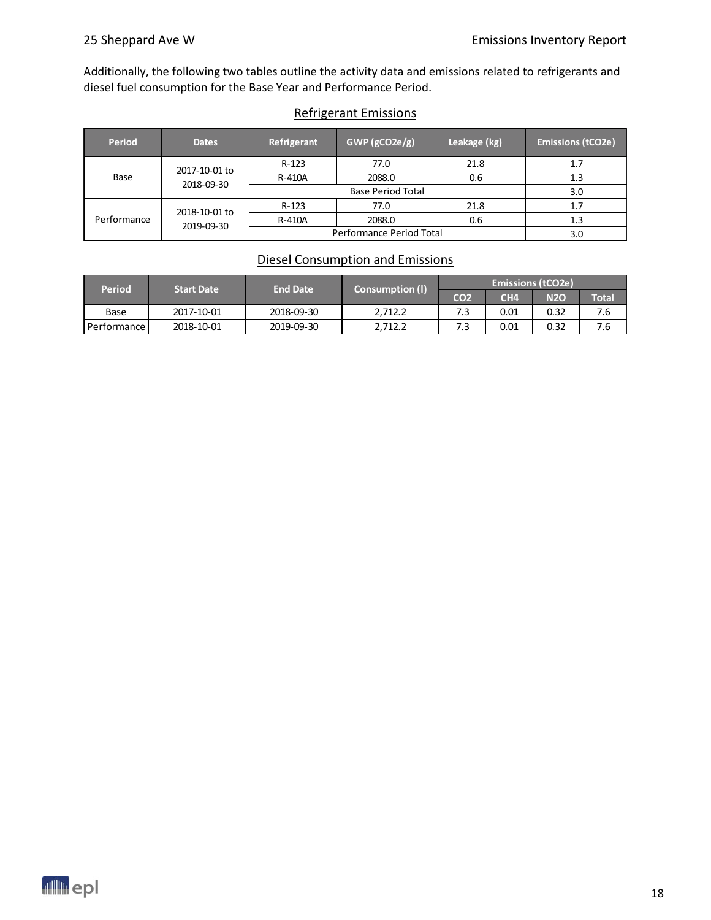Additionally, the following two tables outline the activity data and emissions related to refrigerants and diesel fuel consumption for the Base Year and Performance Period.

#### Refrigerant Emissions

| <b>Period</b>      | <b>Dates</b>  | Refrigerant              | $GWP$ (gCO2e/g) | Leakage (kg) | <b>Emissions (tCO2e)</b> |
|--------------------|---------------|--------------------------|-----------------|--------------|--------------------------|
|                    | 2017-10-01 to | $R-123$                  | 77.0            | 21.8         | 1.7                      |
| Base<br>2018-09-30 | R-410A        | 2088.0                   | 0.6             | 1.3          |                          |
|                    |               |                          | 3.0             |              |                          |
|                    | 2018-10-01 to | $R-123$                  | 77.0            | 21.8         | 1.7                      |
| Performance        | 2019-09-30    | R-410A                   | 2088.0          | 0.6          | 1.3                      |
|                    |               | Performance Period Total | 3.0             |              |                          |

### Diesel Consumption and Emissions

| <b>Period</b><br><b>End Date</b><br><b>Start Date</b> |            | <b>Consumption (I)</b> |                 | <b>Emissions (tCO2e)</b> |       |      |     |  |
|-------------------------------------------------------|------------|------------------------|-----------------|--------------------------|-------|------|-----|--|
|                                                       |            | CO <sub>2</sub>        | CH <sub>4</sub> | <b>N2O</b>               | Total |      |     |  |
| Base                                                  | 2017-10-01 | 2018-09-30             | 2.712.2         | 7.3                      | 0.01  | 0.32 | 7.6 |  |
| Performance I                                         | 2018-10-01 | 2019-09-30             | 2.712.2         | 7.3                      | 0.01  | 0.32 | 7.6 |  |

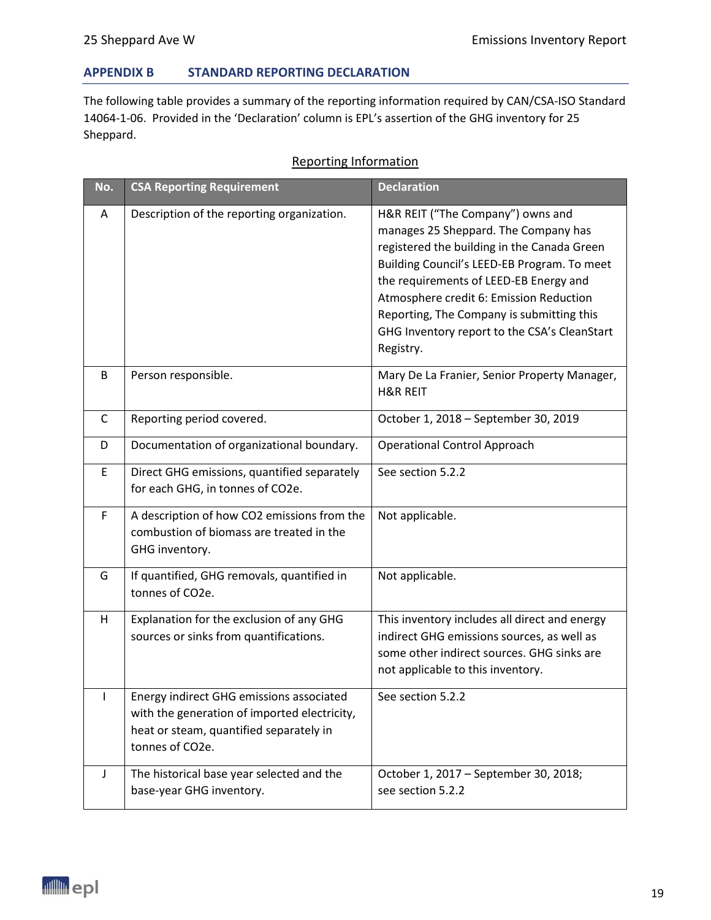#### **APPENDIX B STANDARD REPORTING DECLARATION**

The following table provides a summary of the reporting information required by CAN/CSA-ISO Standard 14064-1-06. Provided in the 'Declaration' column is EPL's assertion of the GHG inventory for 25 Sheppard.

#### Reporting Information

| No.          | <b>CSA Reporting Requirement</b>                                                                                                                       | <b>Declaration</b>                                                                                                                                                                                                                                                                                                                                                     |
|--------------|--------------------------------------------------------------------------------------------------------------------------------------------------------|------------------------------------------------------------------------------------------------------------------------------------------------------------------------------------------------------------------------------------------------------------------------------------------------------------------------------------------------------------------------|
| A            | Description of the reporting organization.                                                                                                             | H&R REIT ("The Company") owns and<br>manages 25 Sheppard. The Company has<br>registered the building in the Canada Green<br>Building Council's LEED-EB Program. To meet<br>the requirements of LEED-EB Energy and<br>Atmosphere credit 6: Emission Reduction<br>Reporting, The Company is submitting this<br>GHG Inventory report to the CSA's CleanStart<br>Registry. |
| B            | Person responsible.                                                                                                                                    | Mary De La Franier, Senior Property Manager,<br><b>H&amp;R REIT</b>                                                                                                                                                                                                                                                                                                    |
| C            | Reporting period covered.                                                                                                                              | October 1, 2018 - September 30, 2019                                                                                                                                                                                                                                                                                                                                   |
| D            | Documentation of organizational boundary.                                                                                                              | <b>Operational Control Approach</b>                                                                                                                                                                                                                                                                                                                                    |
| E            | Direct GHG emissions, quantified separately<br>for each GHG, in tonnes of CO2e.                                                                        | See section 5.2.2                                                                                                                                                                                                                                                                                                                                                      |
| F            | A description of how CO2 emissions from the<br>combustion of biomass are treated in the<br>GHG inventory.                                              | Not applicable.                                                                                                                                                                                                                                                                                                                                                        |
| G            | If quantified, GHG removals, quantified in<br>tonnes of CO2e.                                                                                          | Not applicable.                                                                                                                                                                                                                                                                                                                                                        |
| H            | Explanation for the exclusion of any GHG<br>sources or sinks from quantifications.                                                                     | This inventory includes all direct and energy<br>indirect GHG emissions sources, as well as<br>some other indirect sources. GHG sinks are<br>not applicable to this inventory.                                                                                                                                                                                         |
| $\mathbf{L}$ | Energy indirect GHG emissions associated<br>with the generation of imported electricity,<br>heat or steam, quantified separately in<br>tonnes of CO2e. | See section 5.2.2                                                                                                                                                                                                                                                                                                                                                      |
| J            | The historical base year selected and the<br>base-year GHG inventory.                                                                                  | October 1, 2017 - September 30, 2018;<br>see section 5.2.2                                                                                                                                                                                                                                                                                                             |